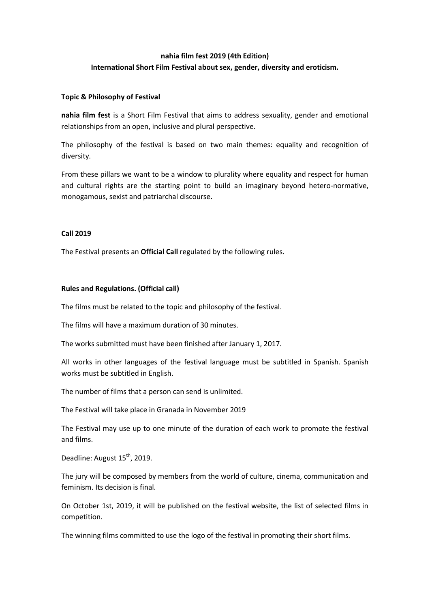# **nahia film fest 2019 (4th Edition) International Short Film Festival about sex, gender, diversity and eroticism.**

### **Topic & Philosophy of Festival**

**nahia film fest** is a Short Film Festival that aims to address sexuality, gender and emotional relationships from an open, inclusive and plural perspective.

The philosophy of the festival is based on two main themes: equality and recognition of diversity.

From these pillars we want to be a window to plurality where equality and respect for human and cultural rights are the starting point to build an imaginary beyond hetero-normative, monogamous, sexist and patriarchal discourse.

#### **Call 2019**

The Festival presents an **Official Call** regulated by the following rules.

## **Rules and Regulations. (Official call)**

The films must be related to the topic and philosophy of the festival.

The films will have a maximum duration of 30 minutes.

The works submitted must have been finished after January 1, 2017.

All works in other languages of the festival language must be subtitled in Spanish. Spanish works must be subtitled in English.

The number of films that a person can send is unlimited.

The Festival will take place in Granada in November 2019

The Festival may use up to one minute of the duration of each work to promote the festival and films.

Deadline: August 15<sup>th</sup>, 2019.

The jury will be composed by members from the world of culture, cinema, communication and feminism. Its decision is final.

On October 1st, 2019, it will be published on the festival website, the list of selected films in competition.

The winning films committed to use the logo of the festival in promoting their short films.